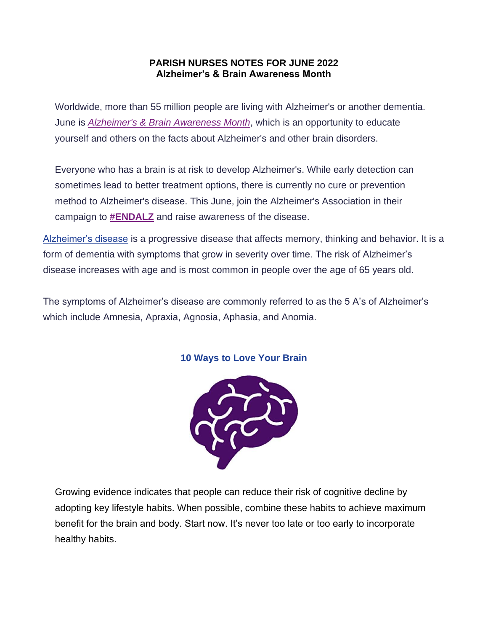## **PARISH NURSES NOTES FOR JUNE 2022 Alzheimer's & Brain Awareness Month**

Worldwide, more than 55 million people are living with Alzheimer's or another dementia. June is *[Alzheimer's & Brain Awareness Month](https://cxvsn04.na1.hubspotlinks.com/Ctc/LY+113/cXvsn04/VVM93B8Kf-1NW7_fnH66wyKh0W5j5c_V4L55-QN7WbryG3q905V1-WJV7CgZkyW6BR7TC7_CnZZW8nZsJw5YvCBLW1ZFQxH4RJp32W5Ztdxn964t30W4-fcZY7xNXfmW4fx5S32NsZScW5czCK84mS_Z0W18zNPx8bQ_2xW8q_fFN7-yLzVMckZPWf3gmLW4_ZqXz6gghzyVG_XM41qjZC1V9Tm7F5XGMBCN49WY9lkxnqRW8nyrf51g2cm2W2MH0_C1yQs-2N5LK8zChLRHwN5P44L-dWnwtW98Vt3k8YHf_cW3kh_D66bcqhMW7XHG9h6_5PRHW3P9Dz82ysqPtW3zNrRk8FGDPpW2dgT4h6_vw_w33cn1)*, which is an opportunity to educate yourself and others on the facts about Alzheimer's and other brain disorders.

Everyone who has a brain is at risk to develop Alzheimer's. While early detection can sometimes lead to better treatment options, there is currently no cure or prevention method to Alzheimer's disease. This June, join the Alzheimer's Association in their campaign to **[#ENDALZ](https://cxvsn04.na1.hubspotlinks.com/Ctc/LY+113/cXvsn04/VVM93B8Kf-1NW7_fnH66wyKh0W5j5c_V4L55-QN7WbryZ3q90pV1-WJV7CgYnGW24_-wW5z2PFMW3Sj9Bm1F6tNxN3P9Fm6d07LrTGd2j96YBtfW6TpG2C90zFvPW18vDJH8f_74SW1LX0Kd32B3HSW3SxwsV5PBXWTW6XWgCz61jCXtW7n1KPQ98mRdyW4MVCQc793X8HW8b7Lsm4cBH4ZW8KNhcC5Qj9ZWW539L0T3ZCyhgVJrhJh25bhVpW34jKYc2Ws7LhW3_-fDn2NbQs4W6QHd2855sfyQW1H4Drt28lTQrW4_f_tF6Jw3v7W76s-tz67XCrsW2j_H6f5hJ4n9N3D9pNGlSq2qW4BTYV25bbfCmV31TD-4_G7lwW4TJ75d3cfTqx3bGW1)** and raise awareness of the disease.

[Alzheimer's disease](https://cxvsn04.na1.hubspotlinks.com/Ctc/LY+113/cXvsn04/VVM93B8Kf-1NW7_fnH66wyKh0W5j5c_V4L55-QN7Wbrzf3q90JV1-WJV7CgQkxW3Q3vhG8rcRjvW8XSLRp3DT8LyW2YJK8p8fBXXzN2-9d-Xnngc8W8LL5TQ13YnCGN38Z2PPXh81KW8tV2kj1y0tKRMTfpdswMwGbW53jBcR3NQ4YqW3pvTmQ35DrdxW2MLdzc5TRlx2W1ZsWR7510p5qW2vN5FV4rs--kW2kkn0w1mSHsxVtL9HB176bhlVyFnKz2lpj-9W3GYDL05cXWXsW1kcylG6FwXBDW6lSK_q4S7hMQW4PpH3r4___2pW5X4W-v25pDpTW46X97X8bgn8gW8ykwZs6-vQLwW9ky0V151h1c2W3L495c8Dr6rrVhwNmg8p58YQW56kgCz8BlFmqW32cB-P1hqmYH3kPQ1) is a progressive disease that affects memory, thinking and behavior. It is a form of dementia with symptoms that grow in severity over time. The risk of Alzheimer's disease increases with age and is most common in people over the age of 65 years old.

The symptoms of Alzheimer's disease are commonly referred to as the 5 A's of Alzheimer's which include Amnesia, Apraxia, Agnosia, Aphasia, and Anomia.



## **10 Ways to Love Your Brain**

Growing evidence indicates that people can reduce their risk of cognitive decline by adopting key lifestyle habits. When possible, combine these habits to achieve maximum benefit for the brain and body. Start now. It's never too late or too early to incorporate healthy habits.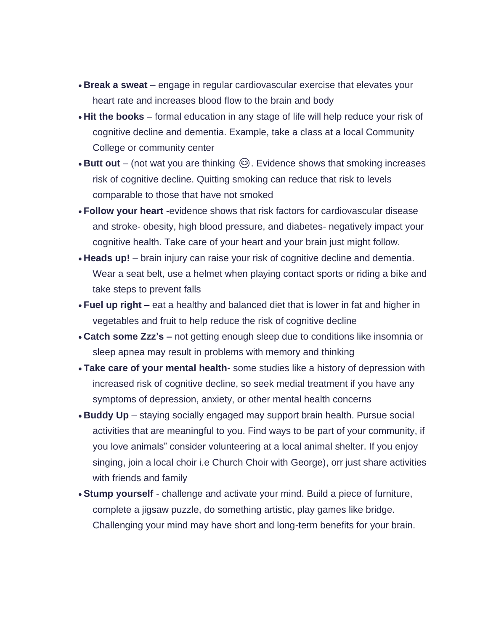- **Break a sweat** engage in regular cardiovascular exercise that elevates your heart rate and increases blood flow to the brain and body
- **Hit the books** formal education in any stage of life will help reduce your risk of cognitive decline and dementia. Example, take a class at a local Community College or community center
- **Butt out** (not wat you are thinking  $\odot$ ). Evidence shows that smoking increases risk of cognitive decline. Quitting smoking can reduce that risk to levels comparable to those that have not smoked
- **Follow your heart** -evidence shows that risk factors for cardiovascular disease and stroke- obesity, high blood pressure, and diabetes- negatively impact your cognitive health. Take care of your heart and your brain just might follow.
- **Heads up!** brain injury can raise your risk of cognitive decline and dementia. Wear a seat belt, use a helmet when playing contact sports or riding a bike and take steps to prevent falls
- **Fuel up right –** eat a healthy and balanced diet that is lower in fat and higher in vegetables and fruit to help reduce the risk of cognitive decline
- **Catch some Zzz's –** not getting enough sleep due to conditions like insomnia or sleep apnea may result in problems with memory and thinking
- **Take care of your mental health** some studies like a history of depression with increased risk of cognitive decline, so seek medial treatment if you have any symptoms of depression, anxiety, or other mental health concerns
- **Buddy Up** staying socially engaged may support brain health. Pursue social activities that are meaningful to you. Find ways to be part of your community, if you love animals" consider volunteering at a local animal shelter. If you enjoy singing, join a local choir i.e Church Choir with George), orr just share activities with friends and family
- **Stump yourself** challenge and activate your mind. Build a piece of furniture, complete a jigsaw puzzle, do something artistic, play games like bridge. Challenging your mind may have short and long-term benefits for your brain.